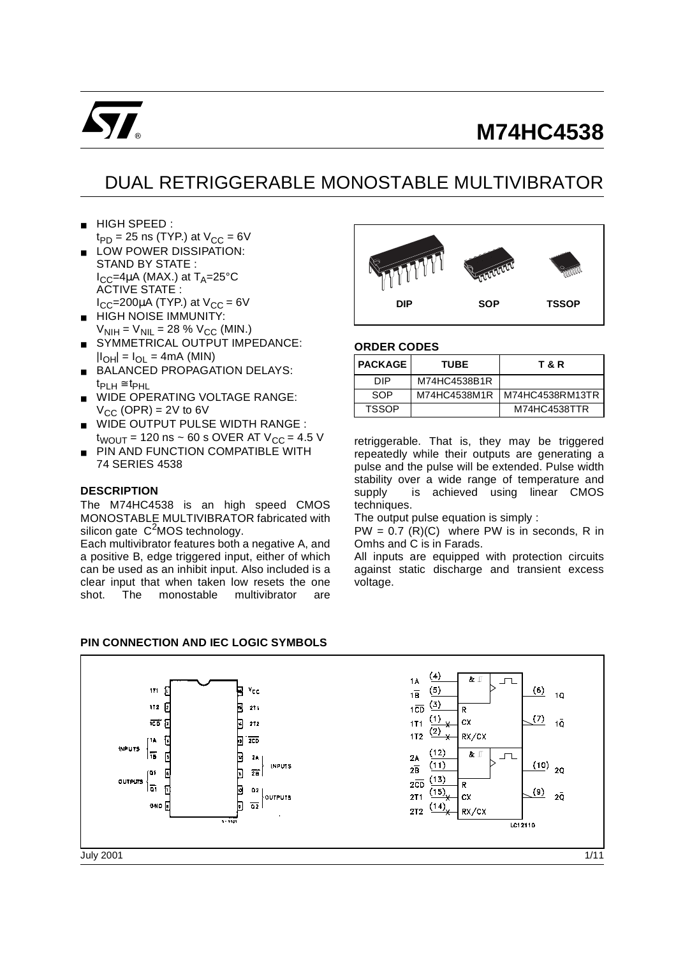

# **M74HC4538**

# DUAL RETRIGGERABLE MONOSTABLE MULTIVIBRATOR

- HIGH SPEED :  $t_{PD}$  = 25 ns (TYP.) at  $V_{CC}$  = 6V
- LOW POWER DISSIPATION: STAND BY STATE :  $I_{CC}$ =4µA (MAX.) at T<sub>A</sub>=25°C ACTIVE STATE :  $I_{CC}$ =200µA (TYP.) at  $V_{CC}$  = 6V
- HIGH NOISE IMMUNITY:  $V_{\text{NIH}} = V_{\text{NIL}} = 28 \% V_{\text{CC}}$  (MIN.)
- SYMMETRICAL OUTPUT IMPEDANCE:  $|I_{OH}| = I_{OL} = 4mA$  (MIN)
- BALANCED PROPAGATION DELAYS:  $t_{\sf PLH}$  ≅  $t_{\sf PHL}$
- WIDE OPERATING VOLTAGE RANGE:  $V_{CC}$  (OPR) = 2V to 6V
- WIDE OUTPUT PULSE WIDTH RANGE :  $t_{WOUT}$  = 120 ns ~ 60 s OVER AT  $V_{CC}$  = 4.5 V
- PIN AND FUNCTION COMPATIBLE WITH 74 SERIES 4538

#### **DESCRIPTION**

The M74HC4538 is an high speed CMOS MONOSTABLE MULTIVIBRATOR fabricated with silicon gate  $C<sup>2</sup>MOS$  technology.

Each multivibrator features both a negative A, and a positive B, edge triggered input, either of which can be used as an inhibit input. Also included is a clear input that when taken low resets the one shot. The monostable multivibrator are



#### **ORDER CODES**

| I PACKAGE I  | <b>TUBE</b>  | T & R           |
|--------------|--------------|-----------------|
| <b>DIP</b>   | M74HC4538B1R |                 |
| SOP          | M74HC4538M1R | M74HC4538RM13TR |
| <b>TSSOP</b> |              | M74HC4538TTR    |

retriggerable. That is, they may be triggered repeatedly while their outputs are generating a pulse and the pulse will be extended. Pulse width stability over a wide range of temperature and supply is achieved using linear CMOS techniques.

The output pulse equation is simply :

 $PW = 0.7$  (R)(C) where PW is in seconds, R in Omhs and C is in Farads.

All inputs are equipped with protection circuits against static discharge and transient excess voltage.

#### **PIN CONNECTION AND IEC LOGIC SYMBOLS**

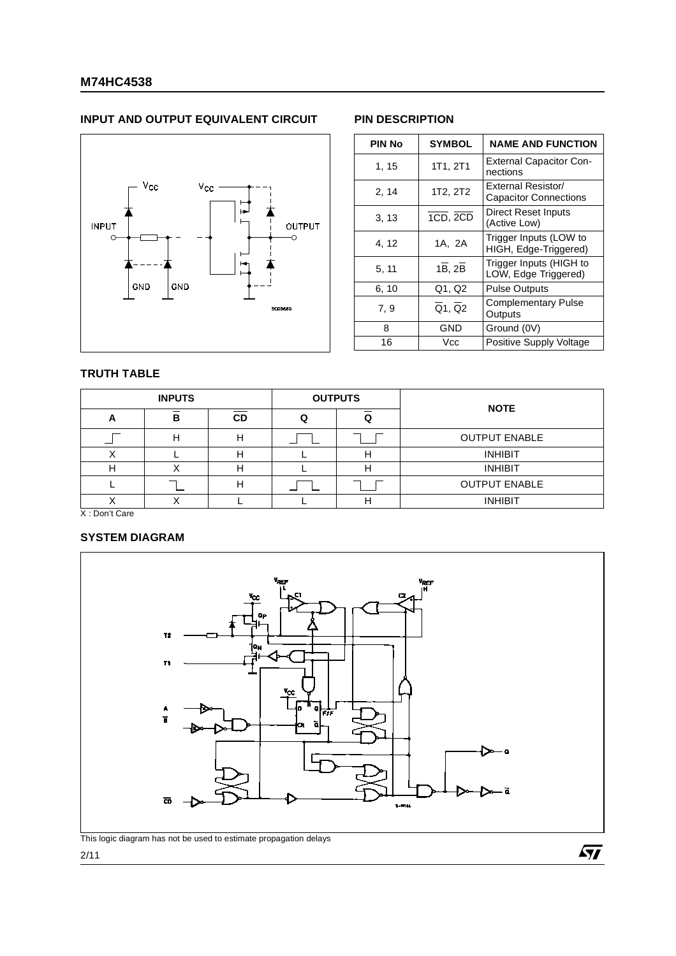# **INPUT AND OUTPUT EQUIVALENT CIRCUIT PIN DESCRIPTION**



| <b>PIN No</b> | <b>SYMBOL</b> | <b>NAME AND FUNCTION</b>                           |
|---------------|---------------|----------------------------------------------------|
| 1, 15         | 1T1, 2T1      | <b>External Capacitor Con-</b><br>nections         |
| 2, 14         | 1T2, 2T2      | External Resistor/<br><b>Capacitor Connections</b> |
| 3, 13         | 1CD, 2CD      | Direct Reset Inputs<br>(Active Low)                |
| 4, 12         | 1A, 2A        | Trigger Inputs (LOW to<br>HIGH, Edge-Triggered)    |
| 5, 11         | 1B, 2B        | Trigger Inputs (HIGH to<br>LOW, Edge Triggered)    |
| 6, 10         | Q1, Q2        | <b>Pulse Outputs</b>                               |
| 7.9           | Q1, Q2        | <b>Complementary Pulse</b><br>Outputs              |
| 8             | GND           | Ground (0V)                                        |
| 16            | Vcc           | Positive Supply Voltage                            |

# **TRUTH TABLE**

|   | <b>INPUTS</b> |           | <b>OUTPUTS</b> |                      |
|---|---------------|-----------|----------------|----------------------|
| A | в             | <b>CD</b> |                | <b>NOTE</b>          |
|   |               |           |                | <b>OUTPUT ENABLE</b> |
|   |               |           |                | <b>INHIBIT</b>       |
| г |               |           | н              | <b>INHIBIT</b>       |
|   |               |           |                | <b>OUTPUT ENABLE</b> |
|   |               |           |                | <b>INHIBIT</b>       |

X : Don't Care

# **SYSTEM DIAGRAM**



This logic diagram has not be used to estimate propagation delays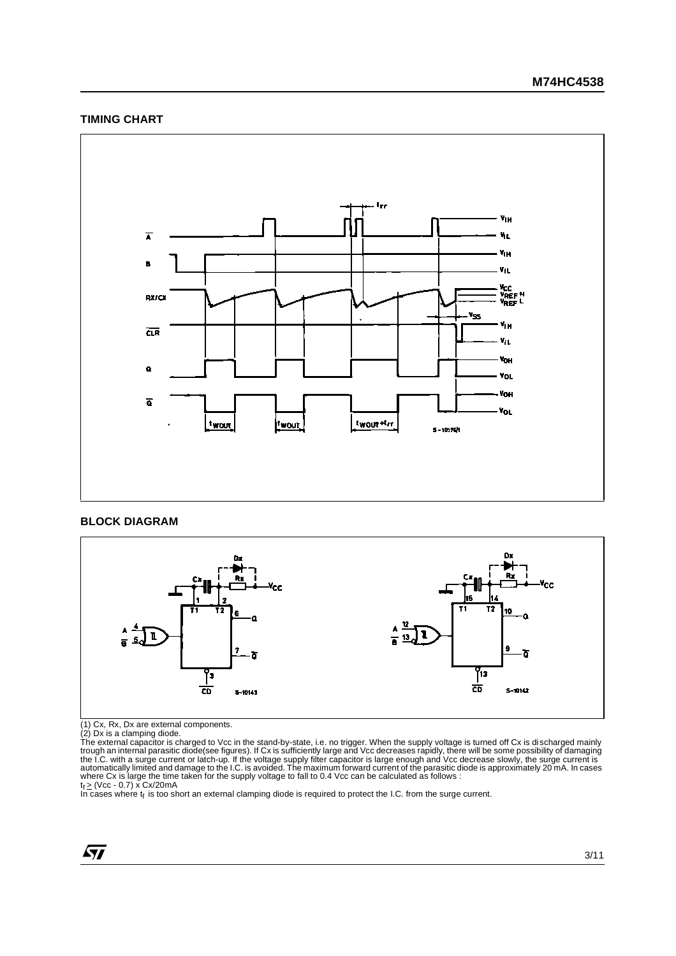## **TIMING CHART**



#### **BLOCK DIAGRAM**



(1) Cx, Rx, Dx are external components.<br>(2) Dx is a clamping diode.<br>The external capacitor is charged to Vcc in the stand-by-state, i.e. no trigger. When the supply voltage is turned off Cx is discharged mainly<br>The extern

$$
\sqrt{M}
$$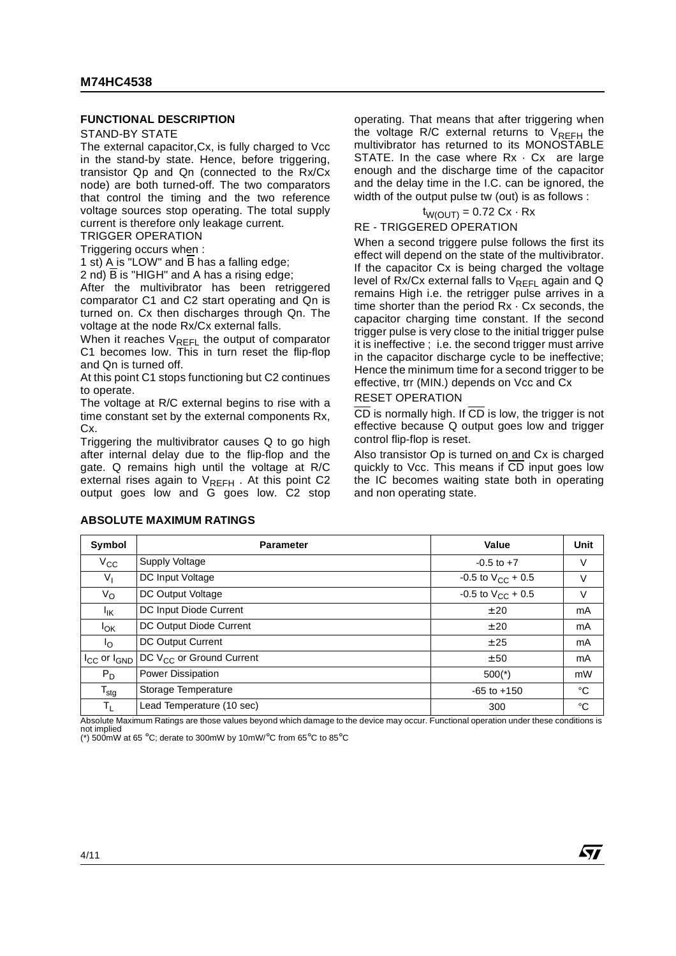#### **FUNCTIONAL DESCRIPTION**

#### STAND-BY STATE

The external capacitor,Cx, is fully charged to Vcc in the stand-by state. Hence, before triggering, transistor Qp and Qn (connected to the Rx/Cx node) are both turned-off. The two comparators that control the timing and the two reference voltage sources stop operating. The total supply current is therefore only leakage current.

TRIGGER OPERATION

Triggering occurs when :

1 st) A is "LOW" and  $\overline{B}$  has a falling edge;

2 nd) B is "HIGH" and A has a rising edge;

After the multivibrator has been retriggered comparator C1 and C2 start operating and Qn is turned on. Cx then discharges through Qn. The voltage at the node Rx/Cx external falls.

When it reaches  $V_{REFL}$  the output of comparator C1 becomes low. This in turn reset the flip-flop and Qn is turned off.

At this point C1 stops functioning but C2 continues to operate.

The voltage at R/C external begins to rise with a time constant set by the external components Rx, Cx.

Triggering the multivibrator causes Q to go high after internal delay due to the flip-flop and the gate. Q remains high until the voltage at R/C external rises again to  $V_{REFH}$ . At this point C2 output goes low and G goes low. C2 stop

operating. That means that after triggering when the voltage R/C external returns to  $V_{RFFH}$  the multivibrator has returned to its MONOSTABLE STATE. In the case where  $Rx \cdot Cx$  are large enough and the discharge time of the capacitor and the delay time in the I.C. can be ignored, the width of the output pulse tw (out) is as follows :

$$
t_{W(OUT)} = 0.72 \text{ Cx} \cdot \text{Rx}
$$

RE - TRIGGERED OPERATION

When a second triggere pulse follows the first its effect will depend on the state of the multivibrator. If the capacitor Cx is being charged the voltage level of  $Rx/Cx$  external falls to  $V_{REFL}$  again and Q remains High i.e. the retrigger pulse arrives in a time shorter than the period Rx · Cx seconds, the capacitor charging time constant. If the second trigger pulse is very close to the initial trigger pulse it is ineffective ; i.e. the second trigger must arrive in the capacitor discharge cycle to be ineffective: Hence the minimum time for a second trigger to be effective, trr (MIN.) depends on Vcc and Cx

#### RESET OPERATION

CD is normally high. If CD is low, the trigger is not effective because Q output goes low and trigger control flip-flop is reset.

Also transistor Op is turned on and Cx is charged quickly to Vcc. This means if CD input goes low the IC becomes waiting state both in operating and non operating state.

57

| Symbol                | <b>Parameter</b>                                                         | Value                    | Unit        |
|-----------------------|--------------------------------------------------------------------------|--------------------------|-------------|
| $V_{\rm CC}$          | Supply Voltage                                                           | $-0.5$ to $+7$           | V           |
| $V_{I}$               | DC Input Voltage                                                         | $-0.5$ to $V_{CC}$ + 0.5 | V           |
| $V_{\rm O}$           | DC Output Voltage                                                        | $-0.5$ to $V_{CC}$ + 0.5 | V           |
| Ιıκ                   | DC Input Diode Current                                                   | ± 20                     | mA          |
| <b>I<sub>OK</sub></b> | DC Output Diode Current                                                  | ± 20                     | mA          |
| I <sub>O</sub>        | DC Output Current                                                        | ± 25                     | mA          |
|                       | I <sub>CC</sub> or I <sub>GND</sub> DC V <sub>CC</sub> or Ground Current | ± 50                     | mA          |
| $P_D$                 | Power Dissipation                                                        | $500(*)$                 | mW          |
| $T_{\text{stg}}$      | Storage Temperature                                                      | $-65$ to $+150$          | $^{\circ}C$ |
| T <sub>L</sub>        | Lead Temperature (10 sec)                                                | 300                      | °C          |

**ABSOLUTE MAXIMUM RATINGS** 

Absolute Maximum Ratings are those values beyond which damage to the device may occur. Functional operation under these conditions is not implied (\*) 500mW at 65 °C; derate to 300mW by 10mW/°C from 65°C to 85°C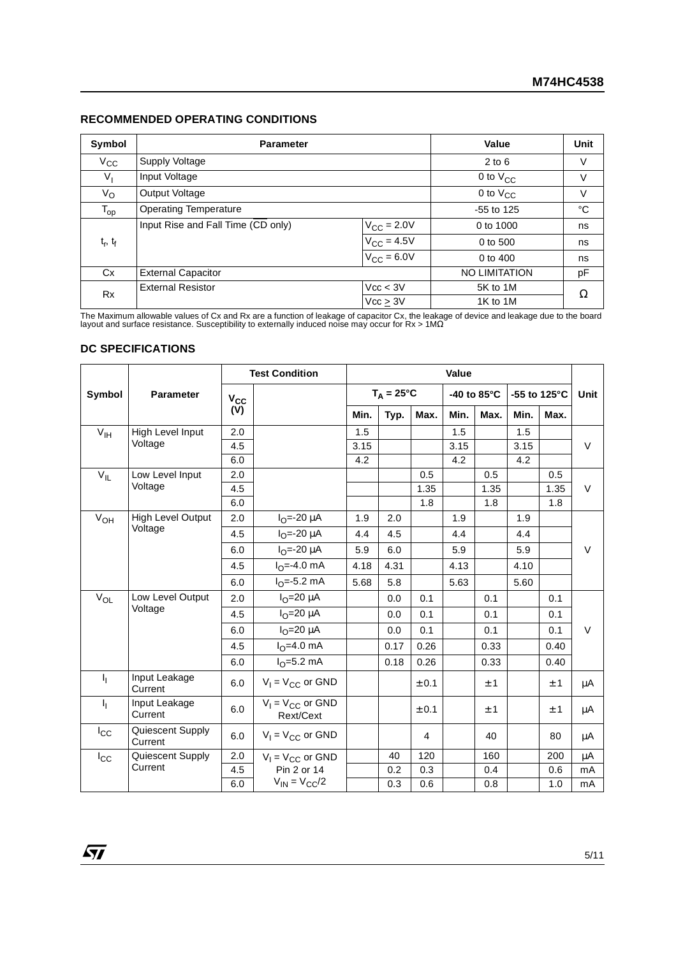# **RECOMMENDED OPERATING CONDITIONS**

| Symbol        | <b>Parameter</b>                   | Value                  | <b>Unit</b>          |    |
|---------------|------------------------------------|------------------------|----------------------|----|
| $V_{\rm CC}$  | Supply Voltage                     | $2$ to $6$             | V                    |    |
| $V_{I}$       | Input Voltage                      |                        | 0 to $V_{CC}$        | V  |
| $V_{\rm O}$   | Output Voltage                     |                        | 0 to $V_{CC}$        | V  |
| $T_{op}$      | <b>Operating Temperature</b>       | $-55$ to 125           | $^{\circ}C$          |    |
|               | Input Rise and Fall Time (CD only) | $V_{\text{CC}}$ = 2.0V | 0 to 1000            | ns |
| $t_r$ , $t_f$ |                                    | $V_{\rm CC} = 4.5V$    | 0 to 500             | ns |
|               |                                    | $V_{\text{CC}} = 6.0V$ | 0 to 400             | ns |
| Cx            | <b>External Capacitor</b>          |                        | <b>NO LIMITATION</b> | pF |
| Rx            | <b>External Resistor</b>           | Vcc < 3V               | 5K to 1M             |    |
|               |                                    | 1K to 1M               | Ω                    |    |

The Maximum allowable values of Cx and Rx are a function of leakage of capacitor Cx, the leakage of device and leakage due to the board<br>layout and surface resistance. Susceptibility to externally induced noise may occur f

### **DC SPECIFICATIONS**

|                     |                             |          | <b>Test Condition</b>              | Value |                     |       |      |             |      |              |             |
|---------------------|-----------------------------|----------|------------------------------------|-------|---------------------|-------|------|-------------|------|--------------|-------------|
| Symbol              | <b>Parameter</b>            | $V_{CC}$ |                                    |       | $T_A = 25^{\circ}C$ |       |      | -40 to 85°C |      | -55 to 125°C | <b>Unit</b> |
|                     |                             | (V)      |                                    | Min.  | Typ.                | Max.  | Min. | Max.        | Min. | Max.         |             |
| $V_{\text{IH}}$     | High Level Input            | 2.0      |                                    | 1.5   |                     |       | 1.5  |             | 1.5  |              |             |
|                     | Voltage                     | 4.5      |                                    | 3.15  |                     |       | 3.15 |             | 3.15 |              | V           |
|                     |                             | 6.0      |                                    | 4.2   |                     |       | 4.2  |             | 4.2  |              |             |
| $V_{IL}$            | Low Level Input             | 2.0      |                                    |       |                     | 0.5   |      | 0.5         |      | 0.5          |             |
|                     | Voltage                     | 4.5      |                                    |       |                     | 1.35  |      | 1.35        |      | 1.35         | $\vee$      |
|                     |                             | 6.0      |                                    |       |                     | 1.8   |      | 1.8         |      | 1.8          |             |
| $V_{OH}$            | High Level Output           | 2.0      | $I_{O} = -20 \mu A$                | 1.9   | 2.0                 |       | 1.9  |             | 1.9  |              |             |
|                     | Voltage                     | 4.5      | $I_{\Omega} = -20 \mu A$           | 4.4   | 4.5                 |       | 4.4  |             | 4.4  |              |             |
|                     |                             | 6.0      | $I_{O} = -20 \mu A$                | 5.9   | 6.0                 |       | 5.9  |             | 5.9  |              | $\vee$      |
|                     |                             | 4.5      | $I_{\Omega} = -4.0$ mA             | 4.18  | 4.31                |       | 4.13 |             | 4.10 |              |             |
|                     |                             | 6.0      | $I_{\Omega} = -5.2$ mA             | 5.68  | 5.8                 |       | 5.63 |             | 5.60 |              |             |
| $\overline{V}_{OL}$ | Low Level Output            | 2.0      | $I_{\Omega}$ =20 µA                |       | 0.0                 | 0.1   |      | 0.1         |      | 0.1          |             |
|                     | Voltage                     | 4.5      | $I_{\Omega}$ =20 µA                |       | 0.0                 | 0.1   |      | 0.1         |      | 0.1          |             |
|                     |                             | 6.0      | $I_{\Omega}$ =20 µA                |       | 0.0                 | 0.1   |      | 0.1         |      | 0.1          | $\vee$      |
|                     |                             | 4.5      | $I_{\Omega} = 4.0$ mA              |       | 0.17                | 0.26  |      | 0.33        |      | 0.40         |             |
|                     |                             | 6.0      | $I_{\Omega} = 5.2$ mA              |       | 0.18                | 0.26  |      | 0.33        |      | 0.40         |             |
| I <sub>I</sub>      | Input Leakage<br>Current    | 6.0      | $V_1 = V_{CC}$ or GND              |       |                     | ± 0.1 |      | ± 1         |      | ±1           | μA          |
| ı,                  | Input Leakage<br>Current    | 6.0      | $V_1 = V_{CC}$ or GND<br>Rext/Cext |       |                     | ± 0.1 |      | ±1          |      | ±1           | μA          |
| $I_{\rm CC}$        | Quiescent Supply<br>Current | 6.0      | $V_1 = V_{CC}$ or GND              |       |                     | 4     |      | 40          |      | 80           | $\mu$ A     |
| $I_{\rm CC}$        | Quiescent Supply            | 2.0      | $V_1 = V_{CC}$ or GND              |       | 40                  | 120   |      | 160         |      | 200          | μA          |
|                     | Current                     | 4.5      | Pin 2 or 14                        |       | 0.2                 | 0.3   |      | 0.4         |      | 0.6          | mA          |
|                     |                             | 6.0      | $V_{IN} = V_{CC}/2$                |       | 0.3                 | 0.6   |      | 0.8         |      | 1.0          | mA          |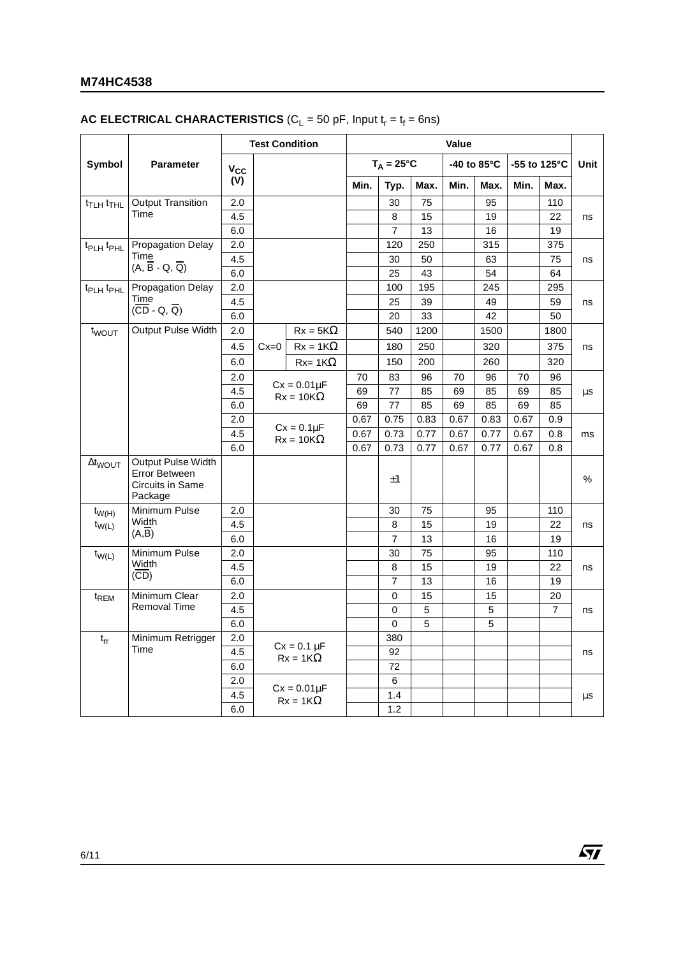# **M74HC4538**

# **AC ELECTRICAL CHARACTERISTICS** ( $C_L$  = 50 pF, Input  $t_r = t_f = 6$ ns)

|                                   |                                                                    | <b>Test Condition</b> |                                      | Value                               |      |                     |      |      |                       |      |                |      |
|-----------------------------------|--------------------------------------------------------------------|-----------------------|--------------------------------------|-------------------------------------|------|---------------------|------|------|-----------------------|------|----------------|------|
| Symbol                            | <b>Parameter</b>                                                   | $V_{CC}$              |                                      |                                     |      | $T_A = 25^{\circ}C$ |      |      | -40 to $85^{\circ}$ C |      | -55 to 125°C   | Unit |
|                                   |                                                                    | (V)                   |                                      |                                     | Min. | Typ.                | Max. | Min. | Max.                  | Min. | Max.           |      |
| t <sub>TLH</sub> t <sub>THL</sub> | <b>Output Transition</b>                                           | 2.0                   |                                      |                                     |      | 30                  | 75   |      | 95                    |      | 110            |      |
|                                   | Time                                                               | 4.5                   |                                      |                                     |      | 8                   | 15   |      | 19                    |      | 22             | ns   |
|                                   |                                                                    | 6.0                   |                                      |                                     |      | $\overline{7}$      | 13   |      | 16                    |      | 19             |      |
| t <sub>PLH</sub> t <sub>PHL</sub> | <b>Propagation Delay</b>                                           | 2.0                   |                                      |                                     |      | 120                 | 250  |      | 315                   |      | 375            |      |
|                                   | Time<br>$(A, \overline{B} - Q, \overline{Q})$                      | 4.5                   |                                      |                                     |      | 30                  | 50   |      | 63                    |      | 75             | ns   |
|                                   |                                                                    | 6.0                   |                                      |                                     |      | 25                  | 43   |      | 54                    |      | 64             |      |
| $t_{\text{PLH}} t_{\text{PHL}}$   | Propagation Delay                                                  | 2.0                   |                                      |                                     |      | 100                 | 195  |      | 245                   |      | 295            |      |
|                                   | Time<br>$(\overline{CD} - Q, \overline{Q})$                        | 4.5                   |                                      |                                     |      | 25                  | 39   |      | 49                    |      | 59             | ns   |
|                                   |                                                                    | 6.0                   |                                      |                                     |      | 20                  | 33   |      | 42                    |      | 50             |      |
| t <sub>wout</sub>                 | Output Pulse Width                                                 | 2.0                   |                                      | $Rx = 5K\Omega$                     |      | 540                 | 1200 |      | 1500                  |      | 1800           |      |
|                                   |                                                                    | 4.5                   | $Cx=0$                               | $Rx = 1K\Omega$                     |      | 180                 | 250  |      | 320                   |      | 375            | ns   |
|                                   |                                                                    | 6.0                   |                                      | $Rx = 1K\Omega$                     |      | 150                 | 200  |      | 260                   |      | 320            |      |
|                                   |                                                                    | 2.0                   |                                      |                                     | 70   | 83                  | 96   | 70   | 96                    | 70   | 96             |      |
|                                   |                                                                    | 4.5                   | $Cx = 0.01\mu F$<br>$Rx = 10K\Omega$ |                                     | 69   | 77                  | 85   | 69   | 85                    | 69   | 85             | μs   |
|                                   |                                                                    | 6.0                   |                                      |                                     | 69   | 77                  | 85   | 69   | 85                    | 69   | 85             |      |
|                                   |                                                                    | 2.0                   |                                      |                                     | 0.67 | 0.75                | 0.83 | 0.67 | 0.83                  | 0.67 | 0.9            | ms   |
|                                   |                                                                    | 4.5                   |                                      | $Cx = 0.1\mu F$<br>$Rx = 10K\Omega$ | 0.67 | 0.73                | 0.77 | 0.67 | 0.77                  | 0.67 | 0.8            |      |
|                                   |                                                                    | 6.0                   |                                      |                                     | 0.67 | 0.73                | 0.77 | 0.67 | 0.77                  | 0.67 | 0.8            |      |
| $\Delta t_{WOUT}$                 | Output Pulse Width<br>Error Between<br>Circuits in Same<br>Package |                       |                                      |                                     |      | $\pm 1$             |      |      |                       |      |                | %    |
| $t_{W(H)}$                        | Minimum Pulse                                                      | 2.0                   |                                      |                                     |      | 30                  | 75   |      | 95                    |      | 110            |      |
| $t_{W(L)}$                        | Width                                                              | 4.5                   |                                      |                                     |      | 8                   | 15   |      | 19                    |      | 22             | ns   |
|                                   | $(A,\overline{B})$                                                 | 6.0                   |                                      |                                     |      | $\overline{7}$      | 13   |      | 16                    |      | 19             |      |
| $t_{W(L)}$                        | Minimum Pulse                                                      | 2.0                   |                                      |                                     |      | 30                  | 75   |      | 95                    |      | 110            |      |
|                                   | Width<br>(CD)                                                      | 4.5                   |                                      |                                     |      | 8                   | 15   |      | 19                    |      | 22             | ns   |
|                                   |                                                                    | 6.0                   |                                      |                                     |      | $\overline{7}$      | 13   |      | 16                    |      | 19             |      |
| t <sub>REM</sub>                  | Minimum Clear                                                      | 2.0                   |                                      |                                     |      | $\mathbf 0$         | 15   |      | 15                    |      | 20             |      |
|                                   | <b>Removal Time</b>                                                | 4.5                   |                                      |                                     |      | 0                   | 5    |      | 5                     |      | $\overline{7}$ | ns   |
|                                   |                                                                    | 6.0                   |                                      |                                     |      | 0                   | 5    |      | 5                     |      |                |      |
| $t_{rr}$                          | Minimum Retrigger                                                  | 2.0                   |                                      | $Cx = 0.1 \mu F$                    |      | 380                 |      |      |                       |      |                |      |
|                                   | Time                                                               | 4.5                   |                                      | $Rx = 1K\Omega$                     |      | 92                  |      |      |                       |      |                | ns   |
|                                   |                                                                    | 6.0                   |                                      |                                     |      | 72                  |      |      |                       |      |                |      |
|                                   |                                                                    | 2.0                   |                                      | $Cx = 0.01\mu F$                    |      | 6                   |      |      |                       |      |                |      |
|                                   |                                                                    | 4.5                   |                                      | $Rx = 1K\Omega$                     |      | 1.4                 |      |      |                       |      |                | μs   |
|                                   |                                                                    | 6.0                   |                                      |                                     |      | 1.2                 |      |      |                       |      |                |      |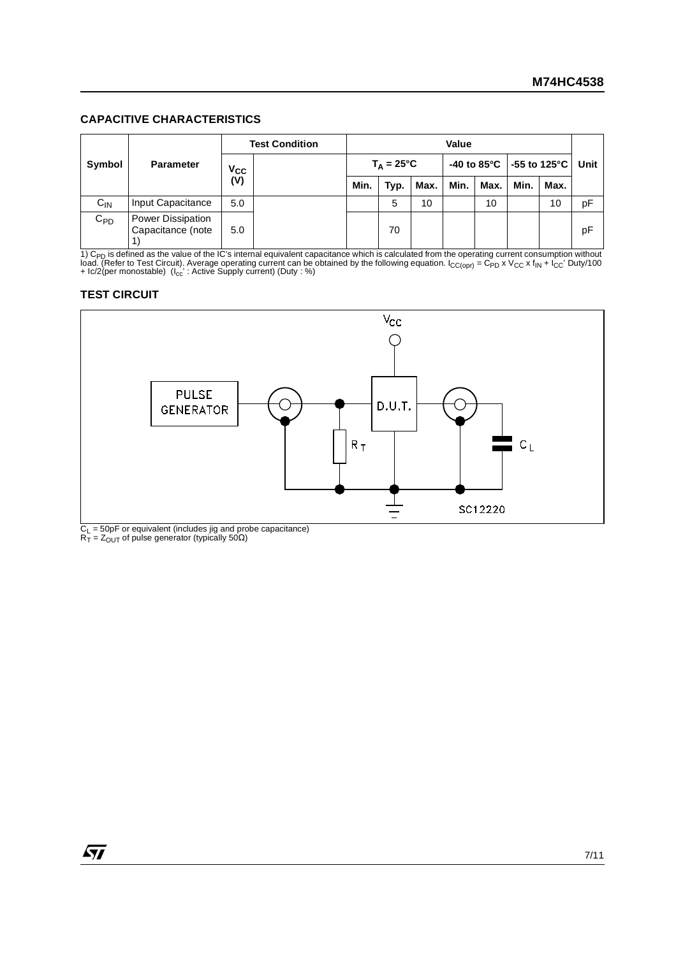#### **CAPACITIVE CHARACTERISTICS**

|                            |                                        |                    | <b>Test Condition</b> | Value               |      |      |      |      |                                                  |    |      |
|----------------------------|----------------------------------------|--------------------|-----------------------|---------------------|------|------|------|------|--------------------------------------------------|----|------|
| Symbol<br><b>Parameter</b> |                                        |                    |                       | $T_A = 25^{\circ}C$ |      |      |      |      | -40 to 85 $^{\circ}$ C   -55 to 125 $^{\circ}$ C |    | Unit |
|                            |                                        | $\frac{V_{CC}}{V}$ | Min.                  | Typ.                | Max. | Min. | Max. | Min. | Max.                                             |    |      |
| $C_{IN}$                   | Input Capacitance                      | 5.0                |                       |                     | 5    | 10   |      | 10   |                                                  | 10 | pF   |
| $C_{PD}$                   | Power Dissipation<br>Capacitance (note | 5.0                |                       |                     | 70   |      |      |      |                                                  |    | pF   |

1) C<sub>PD</sub> is defined as the value of the IC's internal equivalent capacitance which is calculated from the operating current consumption without<br>load. (Refer to Test Circuit). Average operating current can be obtained by th

### **TEST CIRCUIT**



 $C_{\text{L}}$  = 50pF or equivalent (includes jig and probe capacitance)<br>R<sub>T</sub> = Z<sub>OUT</sub> of pulse generator (typically 50Ω)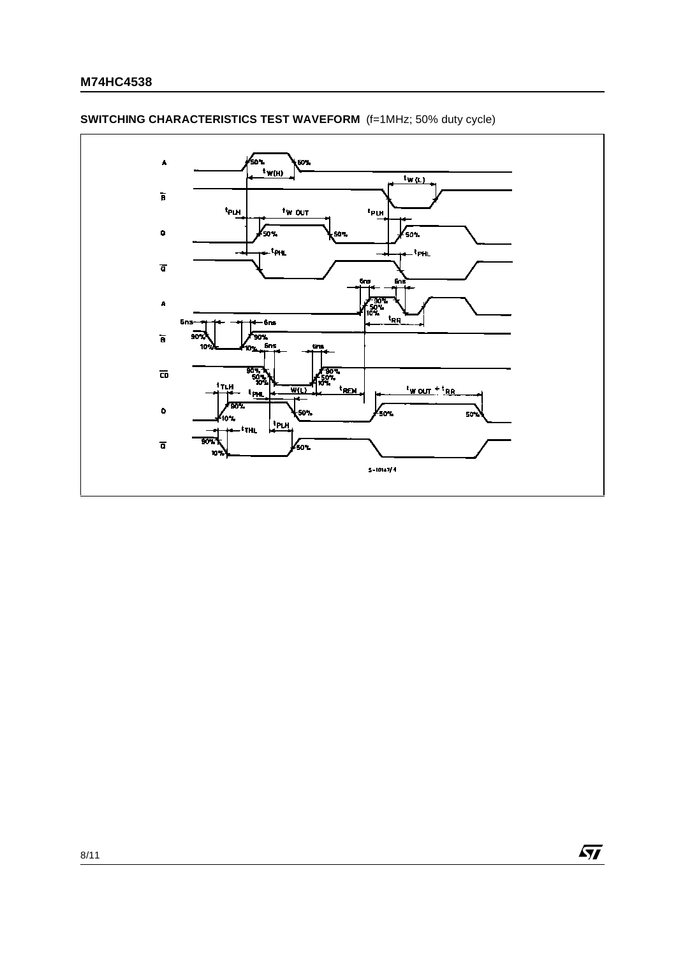

# **SWITCHING CHARACTERISTICS TEST WAVEFORM** (f=1MHz; 50% duty cycle)

 $\sqrt{27}$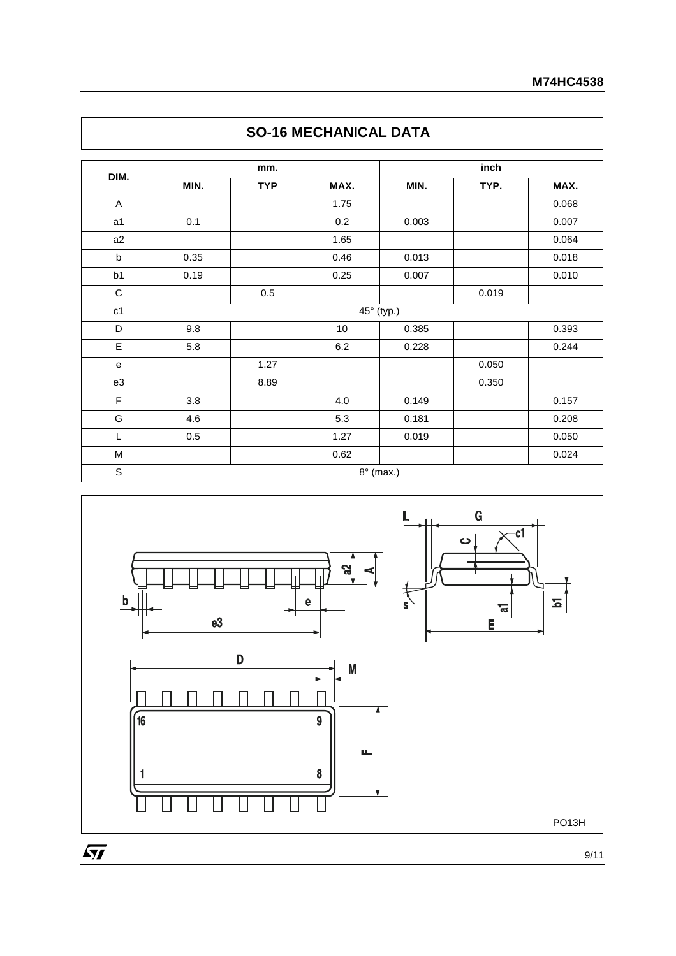| DIM.           |      | mm.        |         | inch       |       |       |  |  |  |
|----------------|------|------------|---------|------------|-------|-------|--|--|--|
|                | MIN. | <b>TYP</b> | MAX.    | MIN.       | TYP.  | MAX.  |  |  |  |
| $\mathsf A$    |      |            | 1.75    |            |       | 0.068 |  |  |  |
| a <sub>1</sub> | 0.1  |            | 0.2     | 0.003      |       | 0.007 |  |  |  |
| a2             |      |            | 1.65    |            |       | 0.064 |  |  |  |
| $\sf b$        | 0.35 |            | 0.46    | 0.013      |       | 0.018 |  |  |  |
| b <sub>1</sub> | 0.19 |            | 0.25    | 0.007      |       | 0.010 |  |  |  |
| $\mathbf C$    |      | 0.5        |         |            | 0.019 |       |  |  |  |
| c1             |      |            |         | 45° (typ.) |       |       |  |  |  |
| D              | 9.8  |            | 10      | 0.385      |       | 0.393 |  |  |  |
| E              | 5.8  |            | $6.2\,$ | 0.228      |       | 0.244 |  |  |  |
| e              |      | 1.27       |         |            | 0.050 |       |  |  |  |
| e3             |      | 8.89       |         |            | 0.350 |       |  |  |  |
| F              | 3.8  |            | 4.0     | 0.149      |       | 0.157 |  |  |  |
| G              | 4.6  |            | 5.3     | 0.181      |       | 0.208 |  |  |  |
| L              | 0.5  |            | 1.27    | 0.019      |       | 0.050 |  |  |  |
| M              |      |            | 0.62    |            |       | 0.024 |  |  |  |





9/11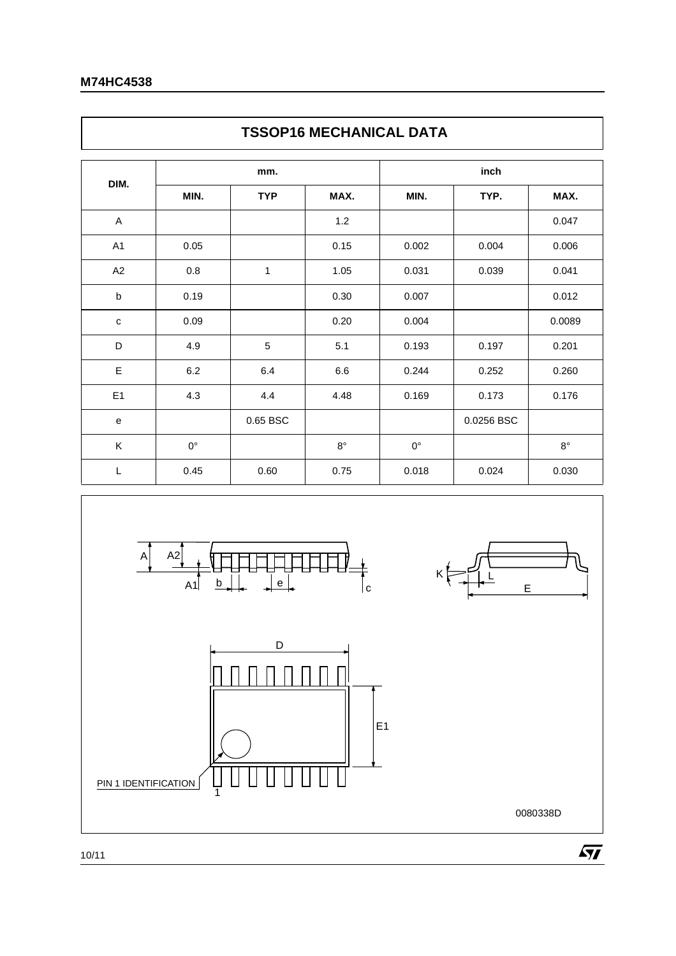$\overline{\Gamma}$ 

| <b>TSSOP16 MECHANICAL DATA</b> |             |                |             |             |            |             |  |  |  |  |  |  |
|--------------------------------|-------------|----------------|-------------|-------------|------------|-------------|--|--|--|--|--|--|
| DIM.                           |             | mm.            |             | inch        |            |             |  |  |  |  |  |  |
|                                | MIN.        | <b>TYP</b>     | MAX.        | MIN.        | TYP.       | MAX.        |  |  |  |  |  |  |
| A                              |             |                | 1.2         |             |            | 0.047       |  |  |  |  |  |  |
| A <sub>1</sub>                 | 0.05        |                | 0.15        | 0.002       | 0.004      | 0.006       |  |  |  |  |  |  |
| A2                             | 0.8         | 1              | 1.05        | 0.031       | 0.039      | 0.041       |  |  |  |  |  |  |
| $\sf b$                        | 0.19        |                | 0.30        | 0.007       |            | 0.012       |  |  |  |  |  |  |
| $\mathbf C$                    | 0.09        |                | 0.20        | 0.004       |            | 0.0089      |  |  |  |  |  |  |
| D                              | 4.9         | $\overline{5}$ | 5.1         | 0.193       | 0.197      | 0.201       |  |  |  |  |  |  |
| E                              | 6.2         | 6.4            | 6.6         | 0.244       | 0.252      | 0.260       |  |  |  |  |  |  |
| E <sub>1</sub>                 | 4.3         | 4.4            | 4.48        | 0.169       | 0.173      | 0.176       |  |  |  |  |  |  |
| e                              |             | 0.65 BSC       |             |             | 0.0256 BSC |             |  |  |  |  |  |  |
| Κ                              | $0^{\circ}$ |                | $8^{\circ}$ | $0^{\circ}$ |            | $8^{\circ}$ |  |  |  |  |  |  |
| L                              | 0.45        | 0.60           | 0.75        | 0.018       | 0.024      | 0.030       |  |  |  |  |  |  |



٦